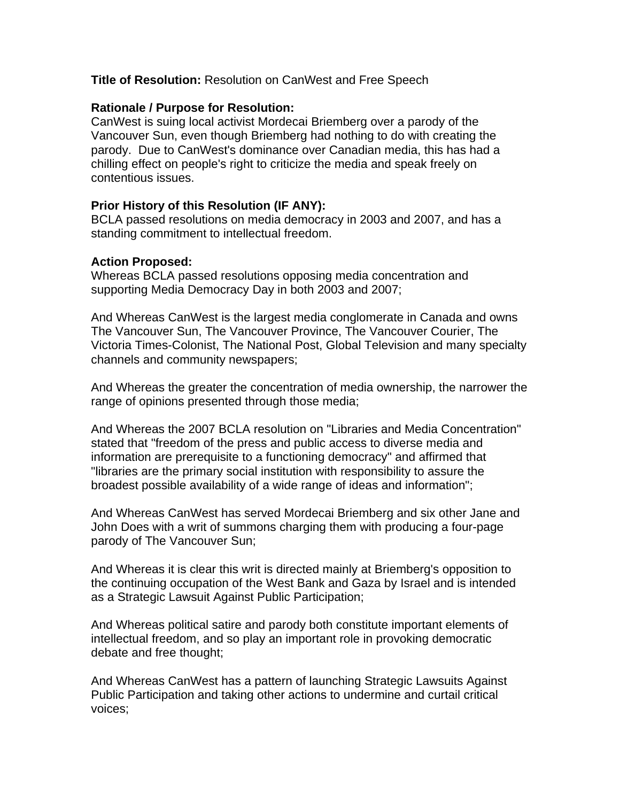# **Title of Resolution:** Resolution on CanWest and Free Speech

## **Rationale / Purpose for Resolution:**

CanWest is suing local activist Mordecai Briemberg over a parody of the Vancouver Sun, even though Briemberg had nothing to do with creating the parody. Due to CanWest's dominance over Canadian media, this has had a chilling effect on people's right to criticize the media and speak freely on contentious issues.

# **Prior History of this Resolution (IF ANY):**

BCLA passed resolutions on media democracy in 2003 and 2007, and has a standing commitment to intellectual freedom.

# **Action Proposed:**

Whereas BCLA passed resolutions opposing media concentration and supporting Media Democracy Day in both 2003 and 2007;

And Whereas CanWest is the largest media conglomerate in Canada and owns The Vancouver Sun, The Vancouver Province, The Vancouver Courier, The Victoria Times-Colonist, The National Post, Global Television and many specialty channels and community newspapers;

And Whereas the greater the concentration of media ownership, the narrower the range of opinions presented through those media;

And Whereas the 2007 BCLA resolution on "Libraries and Media Concentration" stated that "freedom of the press and public access to diverse media and information are prerequisite to a functioning democracy" and affirmed that "libraries are the primary social institution with responsibility to assure the broadest possible availability of a wide range of ideas and information";

And Whereas CanWest has served Mordecai Briemberg and six other Jane and John Does with a writ of summons charging them with producing a four-page parody of The Vancouver Sun;

And Whereas it is clear this writ is directed mainly at Briemberg's opposition to the continuing occupation of the West Bank and Gaza by Israel and is intended as a Strategic Lawsuit Against Public Participation;

And Whereas political satire and parody both constitute important elements of intellectual freedom, and so play an important role in provoking democratic debate and free thought;

And Whereas CanWest has a pattern of launching Strategic Lawsuits Against Public Participation and taking other actions to undermine and curtail critical voices;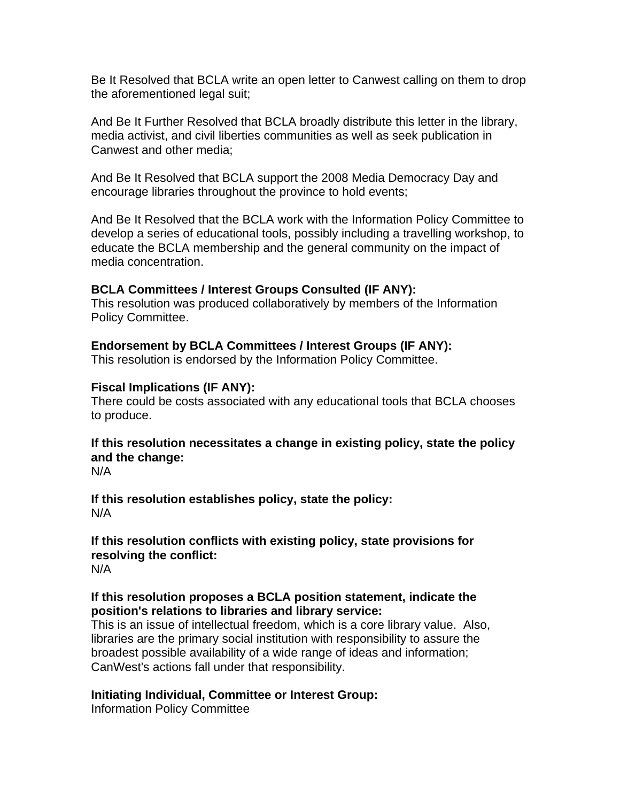Be It Resolved that BCLA write an open letter to Canwest calling on them to drop the aforementioned legal suit;

And Be It Further Resolved that BCLA broadly distribute this letter in the library, media activist, and civil liberties communities as well as seek publication in Canwest and other media;

And Be It Resolved that BCLA support the 2008 Media Democracy Day and encourage libraries throughout the province to hold events;

And Be It Resolved that the BCLA work with the Information Policy Committee to develop a series of educational tools, possibly including a travelling workshop, to educate the BCLA membership and the general community on the impact of media concentration.

## **BCLA Committees / Interest Groups Consulted (IF ANY):**

This resolution was produced collaboratively by members of the Information Policy Committee.

## **Endorsement by BCLA Committees / Interest Groups (IF ANY):**

This resolution is endorsed by the Information Policy Committee.

## **Fiscal Implications (IF ANY):**

There could be costs associated with any educational tools that BCLA chooses to produce.

# **If this resolution necessitates a change in existing policy, state the policy and the change:**

N/A

#### **If this resolution establishes policy, state the policy:**  N/A

# **If this resolution conflicts with existing policy, state provisions for resolving the conflict:**

N/A

## **If this resolution proposes a BCLA position statement, indicate the position's relations to libraries and library service:**

This is an issue of intellectual freedom, which is a core library value. Also, libraries are the primary social institution with responsibility to assure the broadest possible availability of a wide range of ideas and information; CanWest's actions fall under that responsibility.

## **Initiating Individual, Committee or Interest Group:**

Information Policy Committee